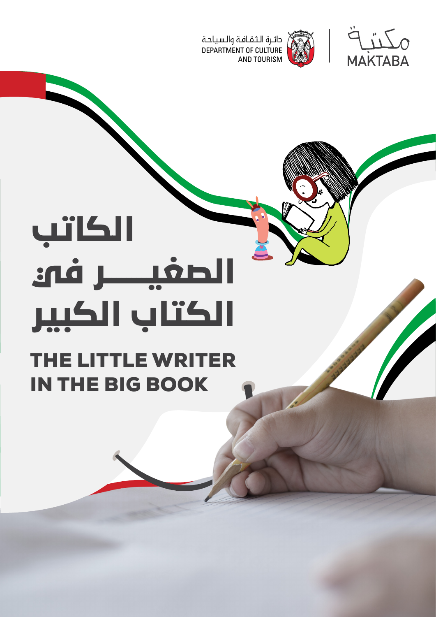



## **الكاتب الصغيــــــــر في الكتاب الكبير**

## THE LITTLE WRITER IN THE BIG BOOK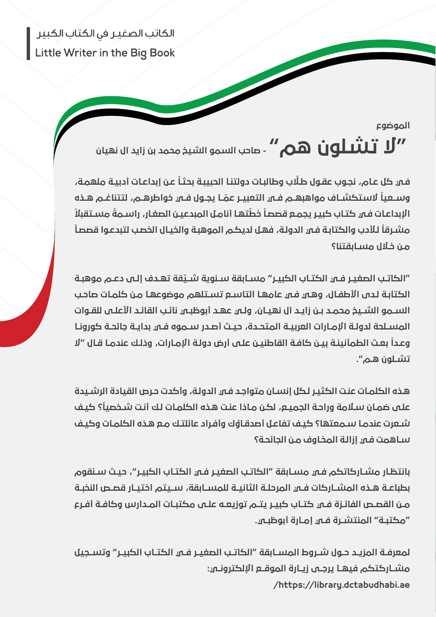الكاتب الصغير في الكتاب الكبير Little Writer in the Big Book

> الموضوع  $\bigcup$  تشلون هم" - صاحب السمو الشيخ محمد بن زايد آل نهيان $\mathbf{U}^{\prime\prime}$

.<br>فـي كل عـام، نجـوب عقـول طـلّاب وطالبـات دولتنـا الحبيبـة بحثـاً عـن إبداعـات أدبيـة ملهمـة، ֧֦֧֦֧֦֧֦֧֦֧֦֧֦֧֦֧֜*֟* ֦֧֦֧֦֧<u>֓</u> ــا يجــول فــي خواطرهــم، لتتناغــم هــذه ً الستكشــاف مواهبهــم فــي التعبيــر عم وســعيا ً .<br>الإبداعـات فـي كتـاب كبيـر يجمـع قصصاً خطّتهـا أنامـل المبدعيـن الصغـار، راســمةً مســتقبلاً ֧֦֧֦֝ ً .<br>مشـرقاً للأدب والكتابـة فـم الدولـة، فهـل لديكـم الموهبـة والخيـال الخصب لتبدعـوا قصصـاً مـن خـال مسـابقتنا؟

֦֧֦֧֦֧֦֧֦֧֦֧֦֧֝ "الكاتــب الصغيــر فـــمي الكتــاب الكبيــر" مســابقة ســنوية شــيّـقة تهــدف إلــــه دعــم موهبــة الكتابـة لـدى الأطفـال، وهـي فـي عامهـا التاســع تسـتلهم موضوعهـا مـن كلمـات صاحب الســمو الشــيخ محمــد بــن زايــد آل نهيــان، ولــي عهــد أبوظبــي نائــب القائــد األعلــى للقــوات المســلحة لدولــة اإلمــارات العربيــة المتحــدة، حيــث أصــدر ســموه فــي بدايــة جائحــة كورونــا ً بعـث الطمأنينـة بيـن كافـة القاطنيـن علـى أرض دولـة اإلمـارات، وذلـك عندمـا قـال "ال وعـدا تشـلون هـم".

هـذه الكلمـات عنـت الكثيـر لـكل إنسـان متواجـد فـي الدولـة، وأكدت حـرص القيادة الرشـيدة ًعلـى ضمـان سـلامة وراحـة الجميـــم، لكـن مـاذا عنـت هـذه الكلمـات لـك أنـت شـخصيـا؟ كيـف شـعرت عندمـا سـمعتها؟ كيـف تفاعـل أصدقـاؤك وأفـراد عائلتـك مـع هـذه الكلمـات وكيـف سـاهمت فـي إزالـة المخـاوف مـن الجائحـة؟

بانتظـار مشـاركاتكم فـي مسـابقة "الكاتـب الصغيـر فـي الكتـاب الكبيـر"، حيـث سـنقوم بطباعــة هــذه المشــاركات فــي المرحلــة الثانيــة للمســابقة، ســيتم اختيــار قصــص النخبــة مــن القصــص الفائــزة فــي كتــاب كبيــر يتــم توزيعــه علــى مكتبــات المــدارس وكافــة أفــرع "مكتبــة" المنتشــرة فــي إمــارة أبوظبــي.

لمعرفــة المزيــد حــول شــروط المســابقة "الكاتــب الصغيــر فــو الكتــاب الكســر" وتســحيل مشــاركتكم فيهــا يرجــى زيــارة الموقـــع الإلكترونـــي: /https://library.dctabudhabi.ae